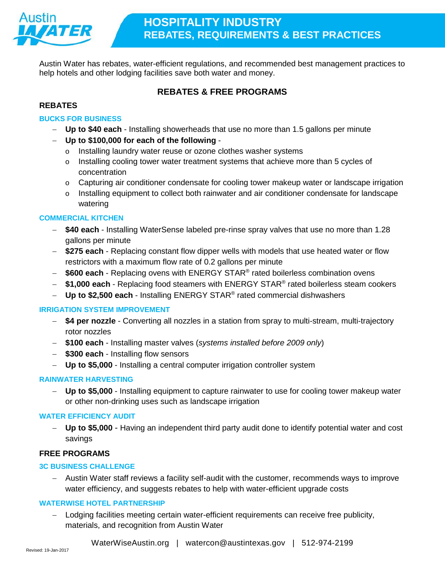

Austin Water has rebates, water-efficient regulations, and recommended best management practices to help hotels and other lodging facilities save both water and money.

# **REBATES & FREE PROGRAMS**

### **REBATES**

### **[BUCKS FOR BUSINESS](http://www.austintexas.gov/sites/default/files/files/Water/Conservation/Rebates_and_Programs/BucksForBusinessRebate.pdf)**

- − **Up to \$40 each**  Installing showerheads that use no more than 1.5 gallons per minute
- − **Up to \$100,000 for each of the following**
	- o Installing laundry water reuse or ozone clothes washer systems
	- o Installing cooling tower water treatment systems that achieve more than 5 cycles of concentration
	- o Capturing air conditioner condensate for cooling tower makeup water or landscape irrigation
	- o Installing equipment to collect both rainwater and air conditioner condensate for landscape watering

### **[COMMERCIAL KITCHEN](http://www.austintexas.gov/sites/default/files/files/Water/Conservation/Rebates_and_Programs/CommercialKitchenRebate.pdf)**

- − **\$40 each** Installing WaterSense labeled pre-rinse spray valves that use no more than 1.28 gallons per minute
- − **\$275 each** Replacing constant flow dipper wells with models that use heated water or flow restrictors with a maximum flow rate of 0.2 gallons per minute
- − **\$600 each** Replacing ovens with ENERGY STAR® rated boilerless combination ovens
- − **\$1,000 each** Replacing food steamers with ENERGY STAR® rated boilerless steam cookers
- − **Up to \$2,500 each** Installing ENERGY STAR® rated commercial dishwashers

### **[IRRIGATION SYSTEM IMPROVEMENT](http://www.austintexas.gov/sites/default/files/files/Water/Conservation/Rebates_and_Programs/IrrigationSystemImprovementRebate.pdf)**

- − **\$4 per nozzle** Converting all nozzles in a station from spray to multi-stream, multi-trajectory rotor nozzles
- − **\$100 each** Installing master valves (*systems installed before 2009 only*)
- − **\$300 each**  Installing flow sensors
- − **Up to \$5,000**  Installing a central computer irrigation controller system

### **[RAINWATER HARVESTING](http://www.austintexas.gov/sites/default/files/files/Water/Conservation/Rebates_and_Programs/Rainwater_Harvesting_Rebate_Guidelines_and_Application.pdf)**

− **Up to \$5,000** - Installing equipment to capture rainwater to use for cooling tower makeup water or other non-drinking uses such as landscape irrigation

### **[WATER EFFICIENCY AUDIT](http://www.austintexas.gov/sites/default/files/files/Water/Conservation/Rebates_and_Programs/WaterEfficiencyAuditRebate.pdf)**

− **Up to \$5,000** - Having an independent third party audit done to identify potential water and cost savings

### **FREE PROGRAMS**

### **[3C BUSINESS CHALLENGE](http://www.austintexas.gov/department/3c-business-challenge-commit-calculate-conserve)**

− Austin Water staff reviews a facility self-audit with the customer, recommends ways to improve water efficiency, and suggests rebates to help with water-efficient upgrade costs

### **[WATERWISE HOTEL PARTNERSHIP](http://www.austintexas.gov/department/waterwise-hotel-partnership)**

Lodging facilities meeting certain water-efficient requirements can receive free publicity, materials, and recognition from Austin Water